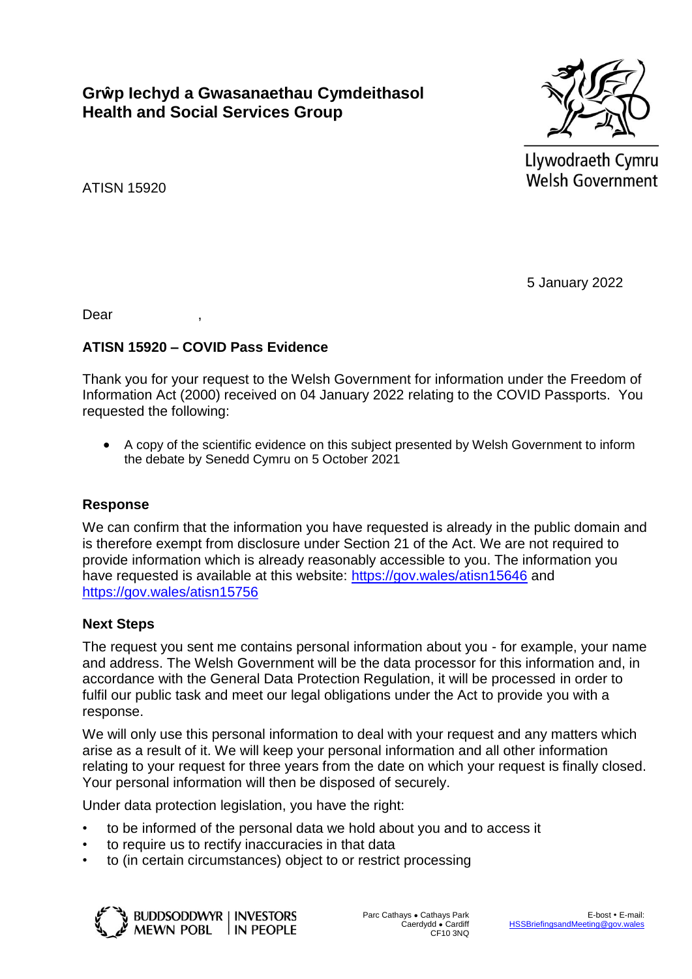**Grŵp Iechyd a Gwasanaethau Cymdeithasol Health and Social Services Group**



Llywodraeth Cymru **Welsh Government** 

ATISN 15920

5 January 2022

Dear ,

## **ATISN 15920 – COVID Pass Evidence**

Thank you for your request to the Welsh Government for information under the Freedom of Information Act (2000) received on 04 January 2022 relating to the COVID Passports. You requested the following:

 A copy of the scientific evidence on this subject presented by Welsh Government to inform the debate by Senedd Cymru on 5 October 2021

## **Response**

We can confirm that the information you have requested is already in the public domain and is therefore exempt from disclosure under Section 21 of the Act. We are not required to provide information which is already reasonably accessible to you. The information you have requested is available at this website: <https://gov.wales/atisn15646> and <https://gov.wales/atisn15756>

## **Next Steps**

The request you sent me contains personal information about you - for example, your name and address. The Welsh Government will be the data processor for this information and, in accordance with the General Data Protection Regulation, it will be processed in order to fulfil our public task and meet our legal obligations under the Act to provide you with a response.

We will only use this personal information to deal with your request and any matters which arise as a result of it. We will keep your personal information and all other information relating to your request for three years from the date on which your request is finally closed. Your personal information will then be disposed of securely.

Under data protection legislation, you have the right:

- to be informed of the personal data we hold about you and to access it
- to require us to rectify inaccuracies in that data
- to (in certain circumstances) object to or restrict processing



**BUDDSODDWYR | INVESTORS** MEWN POBL IN PEOPLE Parc Cathays ● Cathays Park Caerdydd ● Cardiff CF10 3NQ